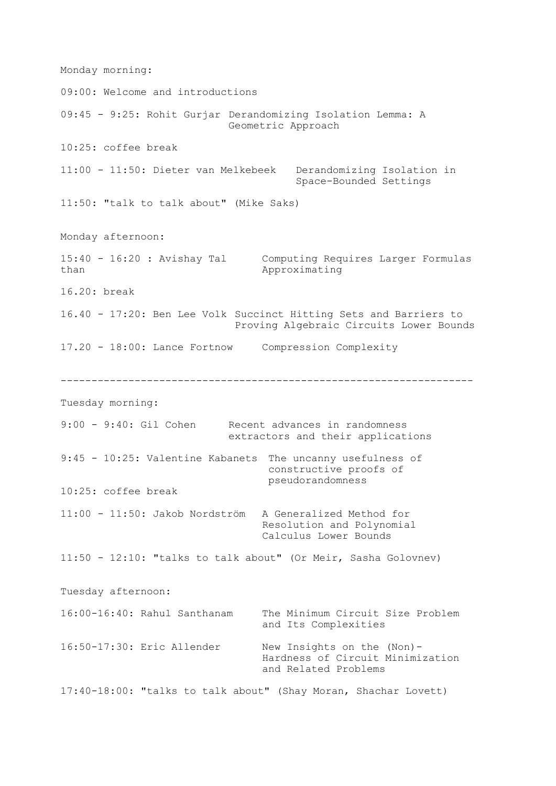Monday morning: 09:00: Welcome and introductions 09:45 - 9:25: Rohit Gurjar Derandomizing Isolation Lemma: A Geometric Approach 10:25: coffee break 11:00 - 11:50: Dieter van Melkebeek Derandomizing Isolation in Space-Bounded Settings 11:50: "talk to talk about" (Mike Saks) Monday afternoon: 15:40 - 16:20 : Avishay Tal Computing Requires Larger Formulas Approximating 16.20: break 16.40 - 17:20: Ben Lee Volk Succinct Hitting Sets and Barriers to Proving Algebraic Circuits Lower Bounds 17.20 - 18:00: Lance Fortnow Compression Complexity ------------------------------------------------------------------- Tuesday morning: 9:00 - 9:40: Gil Cohen Recent advances in randomness extractors and their applications 9:45 - 10:25: Valentine Kabanets The uncanny usefulness of constructive proofs of pseudorandomness 10:25: coffee break 11:00 - 11:50: Jakob Nordström A Generalized Method for Resolution and Polynomial Calculus Lower Bounds 11:50 - 12:10: "talks to talk about" (Or Meir, Sasha Golovnev) Tuesday afternoon: 16:00-16:40: Rahul Santhanam The Minimum Circuit Size Problem and Its Complexities 16:50-17:30: Eric Allender New Insights on the (Non)- Hardness of Circuit Minimization and Related Problems 17:40-18:00: "talks to talk about" (Shay Moran, Shachar Lovett)